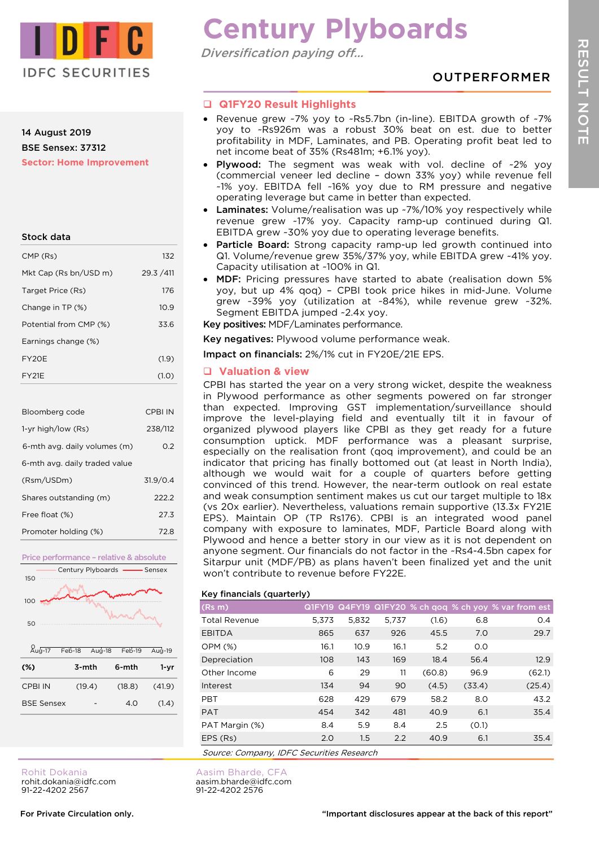

# 14 August 2019 BSE Sensex: 37312 **Sector: Home Improvement**

| Stock data |  |
|------------|--|
|            |  |

| CMP (Rs)               | 132        |
|------------------------|------------|
| Mkt Cap (Rs bn/USD m)  | 29.3 / 411 |
| Target Price (Rs)      | 176        |
| Change in TP (%)       | 10.9       |
| Potential from CMP (%) | 33.6       |
| Earnings change (%)    |            |
| FY20F                  | (1.9)      |
| FY <sub>21</sub> F     | (1.0)      |

| Bloomberg code                | CPBI IN  |
|-------------------------------|----------|
| 1-yr high/low (Rs)            | 238/112  |
| 6-mth avg. daily volumes (m)  | 0.2      |
| 6-mth avg. daily traded value |          |
| (Rsm/USDm)                    | 31.9/0.4 |
| Shares outstanding (m)        | 222.2    |
| Free float (%)                | 27.3     |
| Promoter holding (%)          | 72.8     |



BSE Sensex - 4.0 (1.4)

# **Century Plyboards**

Diversification paying off…

OUTPERFORMER

# **Q1FY20 Result Highlights**

- Revenue grew ~7% yoy to ~Rs5.7bn (in-line). EBITDA growth of ~7% yoy to ~Rs926m was a robust 30% beat on est. due to better profitability in MDF, Laminates, and PB. Operating profit beat led to net income beat of 35% (Rs481m; +6.1% yoy).
- Plywood: The segment was weak with vol. decline of ~2% yoy (commercial veneer led decline – down 33% yoy) while revenue fell ~1% yoy. EBITDA fell ~16% yoy due to RM pressure and negative operating leverage but came in better than expected.
- Laminates: Volume/realisation was up ~7%/10% yoy respectively while revenue grew ~17% yoy. Capacity ramp-up continued during Q1. EBITDA grew ~30% yoy due to operating leverage benefits.
- Particle Board: Strong capacity ramp-up led growth continued into Q1. Volume/revenue grew 35%/37% yoy, while EBITDA grew ~41% yoy. Capacity utilisation at ~100% in Q1.
- MDF: Pricing pressures have started to abate (realisation down 5% yoy, but up 4% qoq) – CPBI took price hikes in mid-June. Volume grew ~39% yoy (utilization at ~84%), while revenue grew ~32%. Segment EBITDA jumped ~2.4x yoy.

Key positives: MDF/Laminates performance.

Key negatives: Plywood volume performance weak.

Impact on financials: 2%/1% cut in FY20E/21E EPS.

# **Valuation & view**

CPBI has started the year on a very strong wicket, despite the weakness in Plywood performance as other segments powered on far stronger than expected. Improving GST implementation/surveillance should improve the level-playing field and eventually tilt it in favour of organized plywood players like CPBI as they get ready for a future consumption uptick. MDF performance was a pleasant surprise, especially on the realisation front (qoq improvement), and could be an indicator that pricing has finally bottomed out (at least in North India), although we would wait for a couple of quarters before getting convinced of this trend. However, the near-term outlook on real estate and weak consumption sentiment makes us cut our target multiple to 18x (vs 20x earlier). Nevertheless, valuations remain supportive (13.3x FY21E EPS). Maintain OP (TP Rs176). CPBI is an integrated wood panel company with exposure to laminates, MDF, Particle Board along with Plywood and hence a better story in our view as it is not dependent on anyone segment. Our financials do not factor in the ~Rs4-4.5bn capex for Sitarpur unit (MDF/PB) as plans haven't been finalized yet and the unit won't contribute to revenue before FY22E.

# Key financials (quarterly)

Aasim Bharde, CFA aasim.bharde@idfc.com 91-22-4202 2576

|                                           | . .   |       |       |        |        |                                                       |
|-------------------------------------------|-------|-------|-------|--------|--------|-------------------------------------------------------|
| (Rs m)                                    |       |       |       |        |        | Q1FY19 Q4FY19 Q1FY20 % ch qoq % ch yoy % var from est |
| <b>Total Revenue</b>                      | 5.373 | 5.832 | 5,737 | (1.6)  | 6.8    | O.4                                                   |
| <b>EBITDA</b>                             | 865   | 637   | 926   | 45.5   | 7.0    | 29.7                                                  |
| <b>OPM (%)</b>                            | 16.1  | 10.9  | 16.1  | 5.2    | O.O    |                                                       |
| Depreciation                              | 108   | 143   | 169   | 18.4   | 56.4   | 12.9                                                  |
| Other Income                              | 6     | 29    | 11    | (60.8) | 96.9   | (62.1)                                                |
| Interest                                  | 134   | 94    | 90    | (4.5)  | (33.4) | (25.4)                                                |
| <b>PBT</b>                                | 628   | 429   | 679   | 58.2   | 8.0    | 43.2                                                  |
| <b>PAT</b>                                | 454   | 342   | 481   | 40.9   | 6.1    | 35.4                                                  |
| PAT Margin (%)                            | 8.4   | 5.9   | 8.4   | 2.5    | (0.1)  |                                                       |
| EPS (Rs)                                  | 2.0   | 1.5   | 2.2   | 40.9   | 6.1    | 35.4                                                  |
| Source: Company, IDFC Securities Research |       |       |       |        |        |                                                       |

Rohit Dokania rohit.dokania@idfc.com 91-22-4202 2567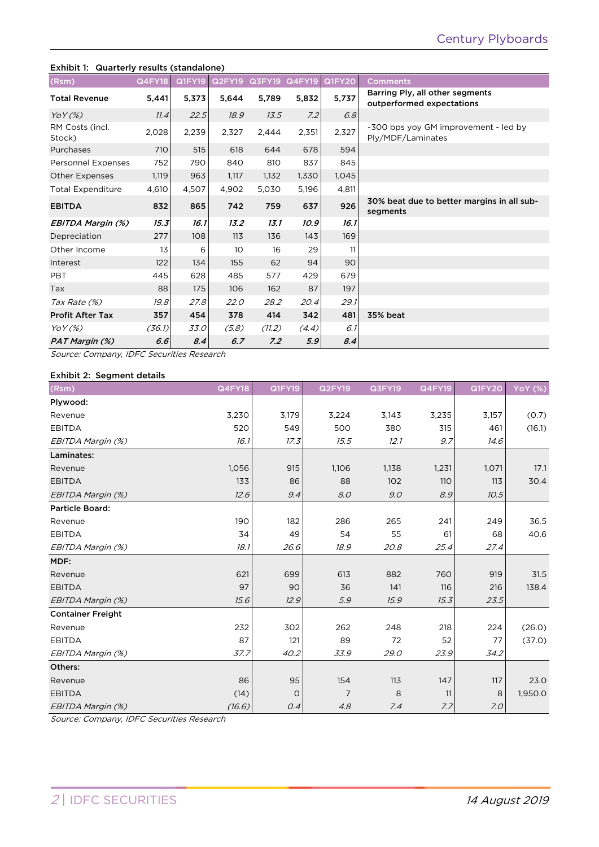# Exhibit 1: Quarterly results (standalone) (Rsm) Q4FY18 Q1FY19 Q2FY19 Q3FY19 Q4FY19 Q1FY20 Comments Total Revenue 5,441 5,373 5,644 5,789 5,832 5,737 Barring Ply, all other segments outperformed expectations YoY (%) 11.4 22.5 18.9 13.5 7.2 6.8 RM Costs (incl. RM Costs (incl. 2,028 2,239 2,327 2,444 2,351  $2,327$   $2,444$  2,327  $2,327$   $2,444$   $2,327$   $2,444$   $2,327$   $2,449$   $2,327$   $2,449$   $2,327$   $2,49$   $2,327$   $2,49$   $2,327$   $2,449$   $2,327$   $2,327$   $2,49$   $2,327$   $2,49$   $2,32$ Ply/MDF/Laminates Purchases 710 515 618 644 678 594 Personnel Expenses 752 790 840 810 837 845 Other Expenses 1,119 963 1,117 1,132 1,330 1,045 Total Expenditure 4,610 4,507 4,902 5,030 5,196 4,811 EBITDA 832 865 742 759 637 926 30% beat due to better margins in all subsegments EBITDA Margin (%) 15.3 16.1 13.2 13.1 10.9 16.1 Depreciation 277 108 113 136 143 169 Other Income 13 6 10 16 29 11 Interest 122 134 155 62 94 90 PBT 445 628 485 577 429 679 Tax 88| 175| 106 162 87| 197 Tax Rate (%) 19.8 27.8 22.0 28.2 20.4 29.1 Profit After Tax 357 454 378 414 342 481 35% beat YoY (%) (36.1) 33.0 (5.8) (11.2) (4.4) 6.1 PAT Margin (%) 6.6 8.4 6.7 7.2 5.9 8.4

Source: Company, IDFC Securities Research

### Exhibit 2: Segment details

| (Rsm)                    | <b>Q4FY18</b> | Q1FY19  | <b>Q2FY19</b>  | Q3FY19 | <b>Q4FY19</b> | <b>Q1FY20</b> | <b>YoY</b> (%) |
|--------------------------|---------------|---------|----------------|--------|---------------|---------------|----------------|
| Plywood:                 |               |         |                |        |               |               |                |
| Revenue                  | 3,230         | 3,179   | 3,224          | 3,143  | 3,235         | 3,157         | (0.7)          |
| <b>EBITDA</b>            | 520           | 549     | 500            | 380    | 315           | 461           | (16.1)         |
| EBITDA Margin (%)        | 16.1          | 17.3    | 15.5           | 12.1   | 9.7           | 14.6          |                |
| Laminates:               |               |         |                |        |               |               |                |
| Revenue                  | 1,056         | 915     | 1,106          | 1,138  | 1,231         | 1,071         | 17.1           |
| <b>EBITDA</b>            | 133           | 86      | 88             | 102    | 110           | 113           | 30.4           |
| EBITDA Margin (%)        | 12.6          | 9.4     | 8.0            | 9.0    | 8.9           | 10.5          |                |
| <b>Particle Board:</b>   |               |         |                |        |               |               |                |
| Revenue                  | 190           | 182     | 286            | 265    | 241           | 249           | 36.5           |
| <b>EBITDA</b>            | 34            | 49      | 54             | 55     | 61            | 68            | 40.6           |
| EBITDA Margin (%)        | 18.1          | 26.6    | 18.9           | 20.8   | 25.4          | 27.4          |                |
| MDF:                     |               |         |                |        |               |               |                |
| Revenue                  | 621           | 699     | 613            | 882    | 760           | 919           | 31.5           |
| <b>EBITDA</b>            | 97            | 90      | 36             | 141    | 116           | 216           | 138.4          |
| EBITDA Margin (%)        | 15.6          | 12.9    | 5.9            | 15.9   | 15.3          | 23.5          |                |
| <b>Container Freight</b> |               |         |                |        |               |               |                |
| Revenue                  | 232           | 302     | 262            | 248    | 218           | 224           | (26.0)         |
| <b>EBITDA</b>            | 87            | 121     | 89             | 72     | 52            | 77            | (37.0)         |
| EBITDA Margin (%)        | 37.7          | 40.2    | 33.9           | 29.0   | 23.9          | 34.2          |                |
| Others:                  |               |         |                |        |               |               |                |
| Revenue                  | 86            | 95      | 154            | 113    | 147           | 117           | 23.0           |
| <b>EBITDA</b>            | (14)          | $\circ$ | $\overline{7}$ | 8      | 11            | 8             | 1,950.0        |
| EBITDA Margin (%)        | (16.6)        | 0.4     | 4.8            | 7.4    | 7.7           | 7.0           |                |

Source: Company, IDFC Securities Research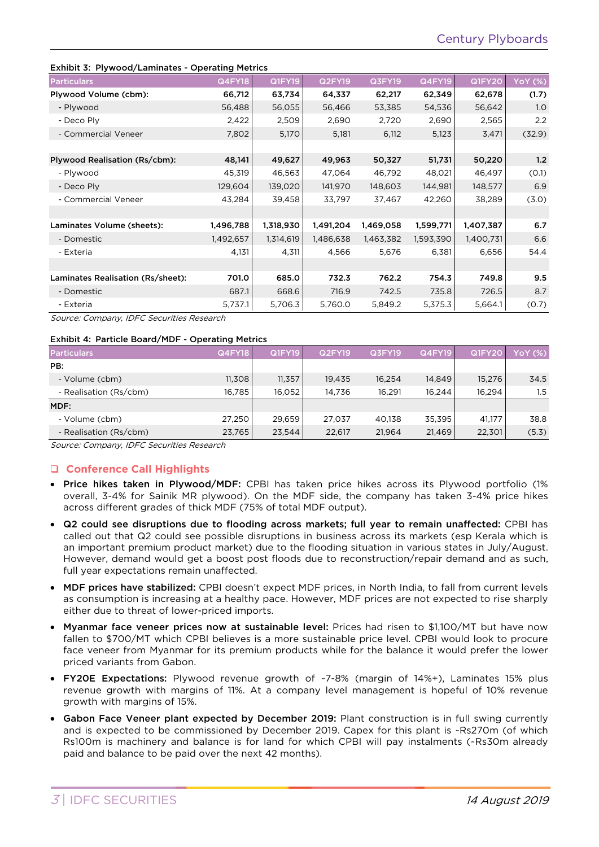#### Exhibit 3: Plywood/Laminates - Operating Metrics

| LANDIC J. Flywood/Lannilates - Operating Pietrics |           |               |               |           |           |               |                |
|---------------------------------------------------|-----------|---------------|---------------|-----------|-----------|---------------|----------------|
| <b>Particulars</b>                                | Q4FY18    | <b>Q1FY19</b> | <b>Q2FY19</b> | Q3FY19    | Q4FY19    | <b>Q1FY20</b> | <b>YoY (%)</b> |
| Plywood Volume (cbm):                             | 66,712    | 63,734        | 64,337        | 62,217    | 62,349    | 62,678        | (1.7)          |
| - Plywood                                         | 56,488    | 56,055        | 56,466        | 53,385    | 54,536    | 56,642        | 1.0            |
| - Deco Ply                                        | 2,422     | 2,509         | 2,690         | 2,720     | 2,690     | 2,565         | 2.2            |
| - Commercial Veneer                               | 7,802     | 5,170         | 5,181         | 6,112     | 5,123     | 3,471         | (32.9)         |
|                                                   |           |               |               |           |           |               |                |
| Plywood Realisation (Rs/cbm):                     | 48,141    | 49,627        | 49,963        | 50,327    | 51,731    | 50,220        | 1.2            |
| - Plywood                                         | 45,319    | 46,563        | 47,064        | 46,792    | 48,021    | 46,497        | (0.1)          |
| - Deco Ply                                        | 129,604   | 139,020       | 141,970       | 148,603   | 144,981   | 148,577       | 6.9            |
| - Commercial Veneer                               | 43,284    | 39,458        | 33,797        | 37,467    | 42,260    | 38,289        | (3.0)          |
|                                                   |           |               |               |           |           |               |                |
| Laminates Volume (sheets):                        | 1,496,788 | 1,318,930     | 1,491,204     | 1,469,058 | 1,599,771 | 1,407,387     | 6.7            |
| - Domestic                                        | 1,492,657 | 1,314,619     | 1,486,638     | 1,463,382 | 1,593,390 | 1,400,731     | 6.6            |
| - Exteria                                         | 4,131     | 4,311         | 4,566         | 5,676     | 6,381     | 6,656         | 54.4           |
|                                                   |           |               |               |           |           |               |                |
| Laminates Realisation (Rs/sheet):                 | 701.0     | 685.0         | 732.3         | 762.2     | 754.3     | 749.8         | 9.5            |
| - Domestic                                        | 687.1     | 668.6         | 716.9         | 742.5     | 735.8     | 726.5         | 8.7            |
| - Exteria                                         | 5,737.1   | 5,706.3       | 5,760.0       | 5,849.2   | 5,375.3   | 5,664.1       | (0.7)          |

Source: Company, IDFC Securities Research

#### Exhibit 4: Particle Board/MDF - Operating Metrics

| <b>Particulars</b>     | <b>Q4FY18</b> | Q1FY19 | Q2FY19 | Q3FY19 | <b>Q4FY19</b> | <b>Q1FY20</b> | YoY (%) |
|------------------------|---------------|--------|--------|--------|---------------|---------------|---------|
| PB:                    |               |        |        |        |               |               |         |
| - Volume (cbm)         | 11,308        | 11,357 | 19.435 | 16.254 | 14.849        | 15,276        | 34.5    |
| - Realisation (Rs/cbm) | 16,785        | 16.052 | 14.736 | 16.291 | 16.244        | 16.294        | 1.5     |
| MDF:                   |               |        |        |        |               |               |         |
| - Volume (cbm)         | 27,250        | 29.659 | 27.037 | 40.138 | 35,395        | 41,177        | 38.8    |
| - Realisation (Rs/cbm) | 23,765        | 23,544 | 22,617 | 21,964 | 21,469        | 22,301        | (5.3)   |

Source: Company, IDFC Securities Research

# **Conference Call Highlights**

- Price hikes taken in Plywood/MDF: CPBI has taken price hikes across its Plywood portfolio (1% overall, 3-4% for Sainik MR plywood). On the MDF side, the company has taken 3-4% price hikes across different grades of thick MDF (75% of total MDF output).
- Q2 could see disruptions due to flooding across markets; full year to remain unaffected: CPBI has called out that Q2 could see possible disruptions in business across its markets (esp Kerala which is an important premium product market) due to the flooding situation in various states in July/August. However, demand would get a boost post floods due to reconstruction/repair demand and as such, full year expectations remain unaffected.
- MDF prices have stabilized: CPBI doesn't expect MDF prices, in North India, to fall from current levels as consumption is increasing at a healthy pace. However, MDF prices are not expected to rise sharply either due to threat of lower-priced imports.
- Myanmar face veneer prices now at sustainable level: Prices had risen to \$1,100/MT but have now fallen to \$700/MT which CPBI believes is a more sustainable price level. CPBI would look to procure face veneer from Myanmar for its premium products while for the balance it would prefer the lower priced variants from Gabon.
- FY20E Expectations: Plywood revenue growth of ~7-8% (margin of 14%+), Laminates 15% plus revenue growth with margins of 11%. At a company level management is hopeful of 10% revenue growth with margins of 15%.
- Gabon Face Veneer plant expected by December 2019: Plant construction is in full swing currently and is expected to be commissioned by December 2019. Capex for this plant is ~Rs270m (of which Rs100m is machinery and balance is for land for which CPBI will pay instalments (~Rs30m already paid and balance to be paid over the next 42 months).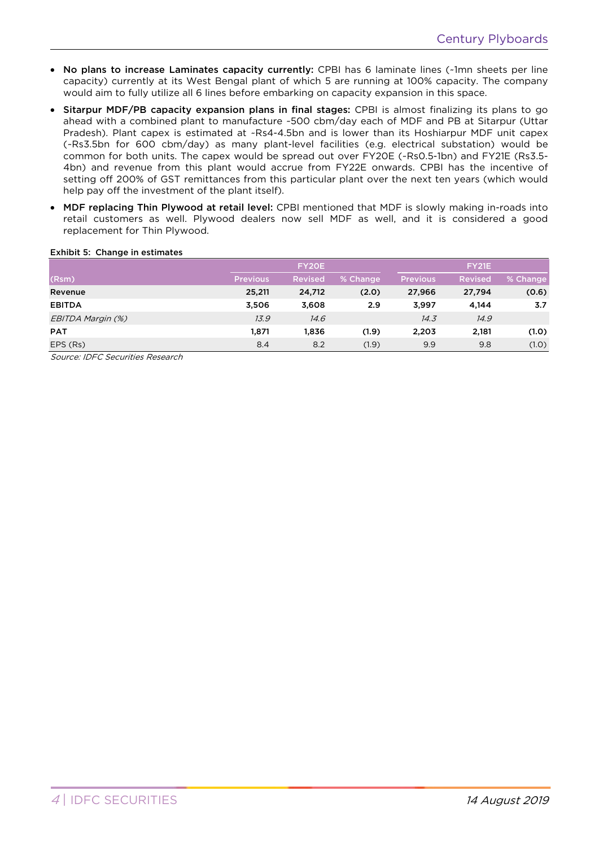- No plans to increase Laminates capacity currently: CPBI has 6 laminate lines (~1mn sheets per line capacity) currently at its West Bengal plant of which 5 are running at 100% capacity. The company would aim to fully utilize all 6 lines before embarking on capacity expansion in this space.
- Sitarpur MDF/PB capacity expansion plans in final stages: CPBI is almost finalizing its plans to go ahead with a combined plant to manufacture ~500 cbm/day each of MDF and PB at Sitarpur (Uttar Pradesh). Plant capex is estimated at ~Rs4-4.5bn and is lower than its Hoshiarpur MDF unit capex (~Rs3.5bn for 600 cbm/day) as many plant-level facilities (e.g. electrical substation) would be common for both units. The capex would be spread out over FY20E (~Rs0.5-1bn) and FY21E (Rs3.5- 4bn) and revenue from this plant would accrue from FY22E onwards. CPBI has the incentive of setting off 200% of GST remittances from this particular plant over the next ten years (which would help pay off the investment of the plant itself).
- MDF replacing Thin Plywood at retail level: CPBI mentioned that MDF is slowly making in-roads into retail customers as well. Plywood dealers now sell MDF as well, and it is considered a good replacement for Thin Plywood.

# Exhibit 5: Change in estimates

|                   |                 | FY20E          |          |                 | <b>FY21E</b>   |          |
|-------------------|-----------------|----------------|----------|-----------------|----------------|----------|
| (Rsm)             | <b>Previous</b> | <b>Revised</b> | % Change | <b>Previous</b> | <b>Revised</b> | % Change |
| Revenue           | 25,211          | 24,712         | (2.0)    | 27,966          | 27,794         | (0.6)    |
| <b>EBITDA</b>     | 3,506           | 3,608          | 2.9      | 3,997           | 4,144          | 3.7      |
| EBITDA Margin (%) | 13.9            | 14.6           |          | 14.3            | 14.9           |          |
| <b>PAT</b>        | 1,871           | 1.836          | (1.9)    | 2,203           | 2,181          | (1.0)    |
| EPS (Rs)          | 8.4             | 8.2            | (1.9)    | 9.9             | 9.8            | (1.0)    |

Source: IDFC Securities Research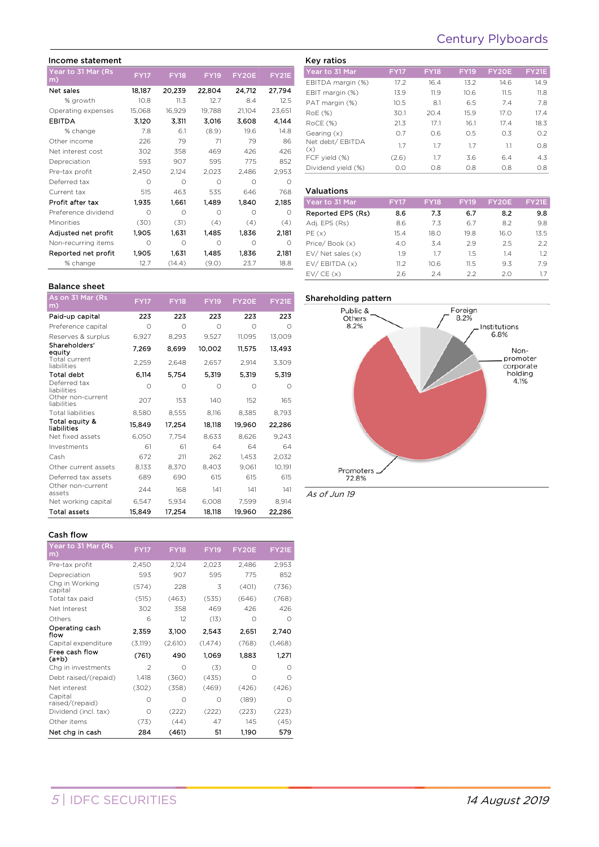# Century Plyboards

#### Income statement Year to 31 Mar (Rs FY17 FY18 FY19 FY20E FY21E<br>m) Net sales 18,187 20,239 22,804 24,712 27,794 % growth 10.8 11.3 12.7 8.4 12.5 Operating expenses 15,068 16,929 19,788 21,104 23,651 EBITDA 3,120 3,311 3,016 3,608 4,144 % change 7.8 6.1 (8.9) 19.6 14.8 Other income 226 79 71 79 86 Net interest cost 302 358 469 426 426 Depreciation 593 907 595 775 852 Pre-tax profit 2,450 2,124 2,023 2,486 2,953 Deferred tax 0 0 0 0 0 0 Current tax 515 463 535 646 768 Profit after tax 1,935 1,661 1,489 1,840 2,185 Preference dividend 0 0 0 0 0 0 Minorities (30) (31) (4) (4) (4) Adjusted net profit 1,905 1,631 1,485 1,836 2,181 Non-recurring items 0 0 0 0 0 0 Reported net profit 1,905 1,631 1,485 1,836 2,181 % change  $12.7$   $(14.4)$   $(9.0)$   $23.7$  18.8

#### Key ratios Year to 31 Mar FY17 FY18 FY19 FY20E FY21E EBITDA margin (%) 17.2 16.4 13.2 14.6 14.9 EBIT margin (%) 13.9 11.9 10.6 11.5 11.8 PAT margin (%) 10.5 8.1 6.5 7.4 7.8 RoE (%) 30.1 20.4 15.9 17.0 17.4 RoCE (%) 21.3 17.1 16.1 17.4 18.3 Gearing (x) 0.7 0.6 0.5 0.3 0.2 Net debt/ EBITDA (x) 1.7 1.7 1.7 1.1 0.8 FCF yield (%) (2.6) 1.7 3.6 6.4 4.3 Dividend yield (%) 0.0 0.8 0.8 0.8 0.8

#### Valuations

| Year to 31 Mar        | <b>FY17</b> | <b>FY18</b> | <b>FY19</b> | FY20E | <b>FY21E</b> |
|-----------------------|-------------|-------------|-------------|-------|--------------|
| Reported EPS (Rs)     | 8.6         | 7.3         | 6.7         | 8.2   | 9.8          |
| Adj. EPS (Rs)         | 8.6         | 7.3         | 6.7         | 8.2   | 9.8          |
| PE(x)                 | 15.4        | 18.0        | 19.8        | 16.0  | 13.5         |
| Price/Book (x)        | 4.0         | 3.4         | 2.9         | 2.5   | 2.2          |
| $EV/$ Net sales $(x)$ | 1.9         | 1.7         | 1.5         | 1.4   | 1.2          |
| EV/EBITDA (x)         | 11.2        | 10.6        | 11.5        | 9.3   | 79           |
| EV/CE(x)              | 2.6         | 2.4         | 2.2         | 20    | 1.7          |

# Balance sheet

| As on 31 Mar (Rs<br>m)           | <b>FY17</b> | <b>FY18</b> | <b>FY19</b> | FY20E     | <b>FY21E</b> |
|----------------------------------|-------------|-------------|-------------|-----------|--------------|
| Paid-up capital                  | 223         | 223         | 223         | 223       | 223          |
| Preference capital               | Ω           | $\bigcap$   | $\bigcirc$  | $\bigcap$ | Ω            |
| Reserves & surplus               | 6,927       | 8,293       | 9,527       | 11,095    | 13,009       |
| Shareholders'<br>equity          | 7,269       | 8,699       | 10,002      | 11,575    | 13,493       |
| Total current<br>liabilities     | 2,259       | 2,648       | 2,657       | 2,914     | 3,309        |
| <b>Total debt</b>                | 6,114       | 5,754       | 5,319       | 5,319     | 5,319        |
| Deferred tax<br>liabilities      | Ω           | Ω           | Ω           | Ω         | $\Omega$     |
| Other non-current<br>liabilities | 207         | 153         | 140         | 152       | 165          |
| <b>Total liabilities</b>         | 8,580       | 8,555       | 8,116       | 8,385     | 8,793        |
| Total equity &<br>liabilities    | 15,849      | 17,254      | 18,118      | 19,960    | 22,286       |
| Net fixed assets                 | 6,050       | 7,754       | 8,633       | 8,626     | 9,243        |
| Investments                      | 61          | 61          | 64          | 64        | 64           |
| Cash                             | 672         | 211         | 262         | 1,453     | 2,032        |
| Other current assets             | 8,133       | 8,370       | 8,403       | 9,061     | 10,191       |
| Deferred tax assets              | 689         | 690         | 615         | 615       | 615          |
| Other non-current<br>assets      | 244         | 168         | 141         | 141       | 141          |
| Net working capital              | 6,547       | 5,934       | 6,008       | 7,599     | 8,914        |
| <b>Total assets</b>              | 15,849      | 17,254      | 18,118      | 19,960    | 22,286       |

#### Cash flow

| <b>FY17</b>    | <b>FY18</b> | <b>FY19</b> | FY20E    | <b>FY21E</b> |
|----------------|-------------|-------------|----------|--------------|
| 2,450          | 2,124       | 2,023       | 2,486    | 2,953        |
| 593            | 907         | 595         | 775      | 852          |
| (574)          | 228         | 3           | (401)    | (736)        |
| (515)          | (463)       | (535)       | (646)    | (768)        |
| 302            | 358         | 469         | 426      | 426          |
| 6              | 12          | (13)        | $\Omega$ | $\Omega$     |
| 2.359          | 3,100       | 2.543       | 2.651    | 2,740        |
| (3, 119)       | (2,610)     | (1, 474)    | (768)    | (1,468)      |
| (761)          | 490         | 1.069       | 1.883    | 1.271        |
| $\mathfrak{D}$ | Ω           | (3)         | Ω        | Ω            |
| 1,418          | (360)       | (435)       | Ω        | $\Omega$     |
| (302)          | (358)       | (469)       | (426)    | (426)        |
| Ω              | Ω           | Ω           | (189)    | $\bigcirc$   |
| Ω              | (222)       | (222)       | (223)    | (223)        |
| (73)           | (44)        | 47          | 145      | (45)         |
| 284            | (461)       | 51          | 1.190    | 579          |
|                |             |             |          |              |



As of Jun 19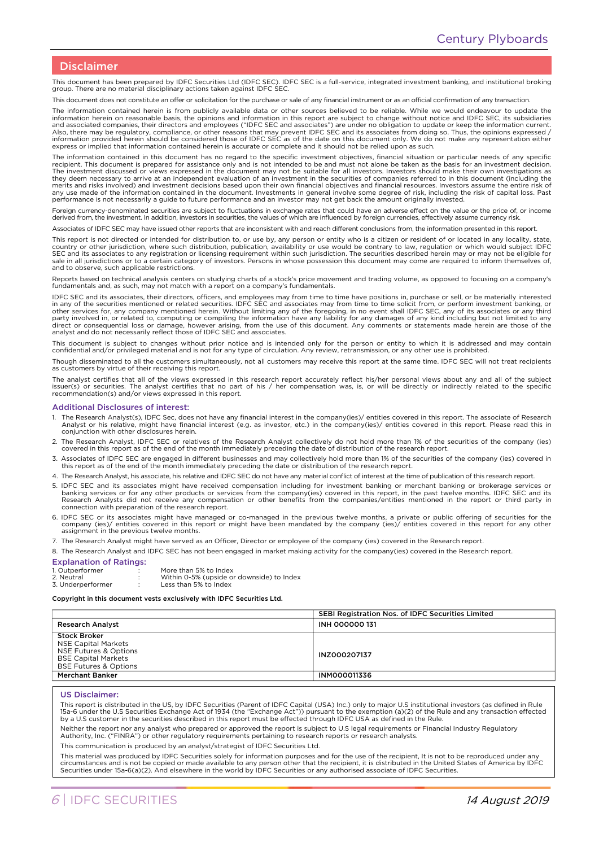## Disclaimer

This document has been prepared by IDFC Securities Ltd (IDFC SEC). IDFC SEC is a full-service, integrated investment banking, and institutional broking group. There are no material disciplinary actions taken against IDFC SEC.

This document does not constitute an offer or solicitation for the purchase or sale of any financial instrument or as an official confirmation of any transaction.

The information contained herein is from publicly available data or other sources believed to be reliable. While we would endeavour to update the information herein on reasonable basis, the opinions and information in this report are subject to change without notice and IDFC SEC, its subsidiaries<br>and associated companies, their directors and employees ("IDFC SEC and Also, there may be regulatory, compliance, or other reasons that may prevent IDFC SEC and its associates from doing so. Thus, the opinions expressed /<br>information provided herein should be considered those of IDFC SEC as o express or implied that information contained herein is accurate or complete and it should not be relied upon as such.

The information contained in this document has no regard to the specific investment objectives, financial situation or particular needs of any specific<br>recipient. This document is prepared for assistance only and is not in they deem necessary to arrive at an independent evaluation of an investment in the securities of companies referred to in this document (including the merits and risks involved) and investment decisions based upon their own financial objectives and financial resources. Investors assume the entire risk of<br>any use made of the information contained in the document. Investme performance is not necessarily a guide to future performance and an investor may not get back the amount originally invested.

Foreign currency-denominated securities are subject to fluctuations in exchange rates that could have an adverse effect on the value or the price of, or income derived from, the investment. In addition, investors in securities, the values of which are influenced by foreign currencies, effectively assume currency risk.

Associates of IDFC SEC may have issued other reports that are inconsistent with and reach different conclusions from, the information presented in this report.

This report is not directed or intended for distribution to, or use by, any person or entity who is a citizen or resident of or located in any locality, state,<br>country or other jurisdiction, where such distribution, public sale in all jurisdictions or to a certain category of investors. Persons in whose possession this document may come are required to inform themselves of, and to observe, such applicable restrictions.

Reports based on technical analysis centers on studying charts of a stock's price movement and trading volume, as opposed to focusing on a company's<br>fundamentals and, as such, may not match with a report on a company's fun

IDFC SEC and its associates, their directors, officers, and employees may from time to time have positions in, purchase or sell, or be materially interested<br>in any of the securities mentioned or related securities. IDFC SE other services for, any company mentioned herein. Without limiting any of the foregoing, in no event shall IDFC SEC, any of its associates or any third<br>party involved in, or related to, computing or compiling the informati analyst and do not necessarily reflect those of IDFC SEC and associates.

This document is subject to changes without prior notice and is intended only for the person or entity to which it is addressed and may contain<br>confidential and/or privileged material and is not for any type of circulation

Though disseminated to all the customers simultaneously, not all customers may receive this report at the same time. IDFC SEC will not treat recipients as customers by virtue of their receiving this report.

The analyst certifies that all of the views expressed in this research report accurately reflect his/her personal views about any and all of the subject issuer(s) or securities. The analyst certifies that no part of his / her compensation was, is, or will be directly or indirectly related to the specific recommendation(s) and/or views expressed in this report.

#### Additional Disclosures of interest:

- 1. The Research Analyst(s), IDFC Sec, does not have any financial interest in the company(ies)/ entities covered in this report. The associate of Research Analyst or his relative, might have financial interest (e.g. as investor, etc.) in the company(ies)/ entities covered in this report. Please read this in conjunction with other disclosures herein.
- 2. The Research Analyst, IDFC SEC or relatives of the Research Analyst collectively do not hold more than 1% of the securities of the company (ies)<br>covered in this report as of the end of the month immediately preceding th
- 3. Associates of IDFC SEC are engaged in different businesses and may collectively hold more than 1% of the securities of the company (ies) covered in this report as of the end of the month immediately preceding the date or distribution of the research report.
- 4. The Research Analyst, his associate, his relative and IDFC SEC do not have any material conflict of interest at the time of publication of this research report.
- 5. IDFC SEC and its associates might have received compensation including for investment banking or merchant banking or brokerage services or banking services or for any other products or services from the company(ies) covered in this report, in the past twelve months. IDFC SEC and its<br>Research Analysts did not receive any compensation or other benefits from the connection with preparation of the research report.
- 6. IDFC SEC or its associates might have managed or co-managed in the previous twelve months, a private or public offering of securities for the company (ies)/ entities covered in this report or might have been mandated by the company (ies)/ entities covered in this report for any other assignment in the previous twelve months.
- 7. The Research Analyst might have served as an Officer, Director or employee of the company (ies) covered in the Research report.
- 8. The Research Analyst and IDFC SEC has not been engaged in market making activity for the company(ies) covered in the Research report.

#### Explanation of Ratings:

| Explanation of Ratings: |                                           |
|-------------------------|-------------------------------------------|
| 1. Outperformer         | More than 5% to Index                     |
| 2. Neutral              | Within 0-5% (upside or downside) to Index |
| 3. Underperformer       | Less than 5% to Index                     |
|                         |                                           |

#### Copyright in this document vests exclusively with IDFC Securities Ltd.

|                                                                                                                                              | SEBI Registration Nos. of IDFC Securities Limited |  |
|----------------------------------------------------------------------------------------------------------------------------------------------|---------------------------------------------------|--|
| <b>Research Analyst</b>                                                                                                                      | <b>INH 000000 131</b>                             |  |
| <b>Stock Broker</b><br><b>NSE Capital Markets</b><br>NSE Futures & Options<br><b>BSE Capital Markets</b><br><b>BSE Futures &amp; Options</b> | INZ000207137                                      |  |
| <b>Merchant Banker</b>                                                                                                                       | <b>INM000011336</b>                               |  |

#### US Disclaimer:

This report is distributed in the US, by IDFC Securities (Parent of IDFC Capital (USA) Inc.) only to major U.S institutional investors (as defined in Rule<br>15a-6 under the U.S Securities Exchange Act of 1934 (the "Exchange by a U.S customer in the securities described in this report must be effected through IDFC USA as defined in the Rule.

Neither the report nor any analyst who prepared or approved the report is subject to U.S legal requirements or Financial Industry Regulatory Authority, Inc. ("FINRA") or other regulatory requirements pertaining to research reports or research analysts.

This communication is produced by an analyst/strategist of IDFC Securities Ltd.

This material was produced by IDFC Securities solely for information purposes and for the use of the recipient, It is not to be reproduced under any circumstances and is not be copied or made available to any person other that the recipient, it is distributed in the United States of America by IDFC<br>Securities under 15a-6(a)(2). And elsewhere in the world by IDFC Securi